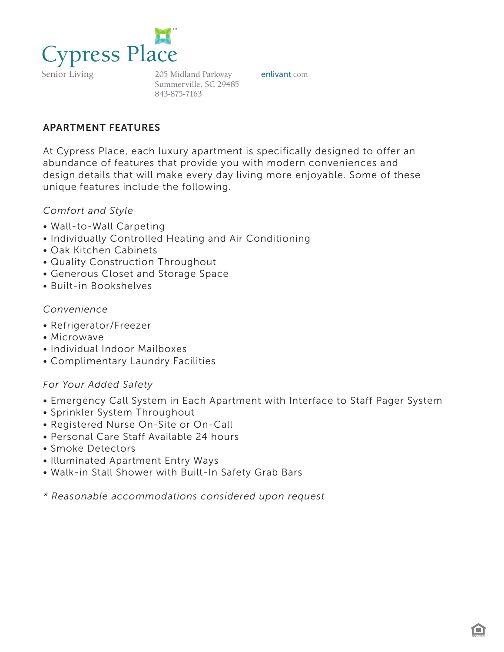

Senior Living

205 Midland Parkway **enlivant**.com Summerville, SC 29485 843-875-7163

### APARTMENT FEATURES

At Cypress Place, each luxury apartment is specifically designed to offer an abundance of features that provide you with modern conveniences and design details that will make every day living more enjoyable. Some of these unique features include the following.

#### *Comfort and Style*

- Wall-to-Wall Carpeting
- Individually Controlled Heating and Air Conditioning
- Oak Kitchen Cabinets
- Quality Construction Throughout
- Generous Closet and Storage Space
- Built-in Bookshelves

#### *Convenience*

- Refrigerator/Freezer
- Microwave
- Individual Indoor Mailboxes
- Complimentary Laundry Facilities

#### *For Your Added Safety*

- Emergency Call System in Each Apartment with Interface to Staff Pager System
- Sprinkler System Throughout
- Registered Nurse On-Site or On-Call
- Personal Care Staff Available 24 hours
- Smoke Detectors
- Illuminated Apartment Entry Ways
- Walk-in Stall Shower with Built-In Safety Grab Bars
- *\* Reasonable accommodations considered upon request*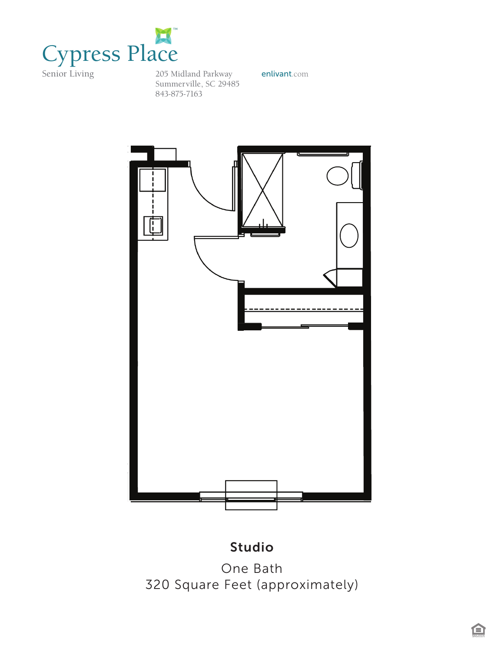

*Cypress House*  205 Midland Parkway **enlivant**.com Summerville, SC 29485 843-875-7163



## *One Bath*  Studio

*320 Square Feet (approximately)* One Bath 320 Square Feet (approximately)